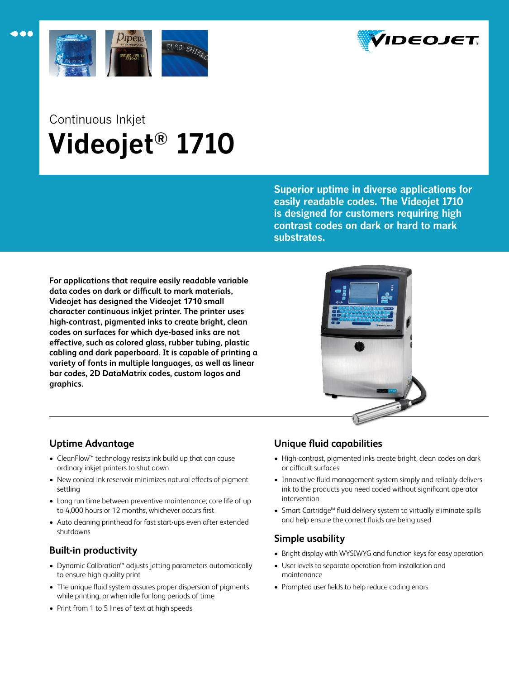



# Continuous Inkjet  **Videojet® 1710**

**Superior uptime in diverse applications for easily readable codes. The Videojet 1710 is designed for customers requiring high contrast codes on dark or hard to mark substrates.**

**For applications that require easily readable variable data codes on dark or difficult to mark materials, Videojet has designed the Videojet 1710 small character continuous inkjet printer. The printer uses high-contrast, pigmented inks to create bright, clean codes on surfaces for which dye-based inks are not effective, such as colored glass, rubber tubing, plastic cabling and dark paperboard. It is capable of printing a variety of fonts in multiple languages, as well as linear bar codes, 2D DataMatrix codes, custom logos and graphics.**



# **Uptime Advantage**

- • CleanFlow™ technology resists ink build up that can cause ordinary inkjet printers to shut down
- New conical ink reservoir minimizes natural effects of pigment settling
- Long run time between preventive maintenance; core life of up to 4,000 hours or 12 months, whichever occurs first
- Auto cleaning printhead for fast start-ups even after extended shutdowns

# **Built-in productivity**

- • Dynamic Calibration™ adjusts jetting parameters automatically to ensure high quality print
- The unique fluid system assures proper dispersion of pigments while printing, or when idle for long periods of time
- Print from 1 to 5 lines of text at high speeds

# **Unique fluid capabilities**

- High-contrast, pigmented inks create bright, clean codes on dark or difficult surfaces
- Innovative fluid management system simply and reliably delivers ink to the products you need coded without significant operator intervention
- • Smart Cartridge™ fluid delivery system to virtually eliminate spills and help ensure the correct fluids are being used

# **Simple usability**

- Bright display with WYSIWYG and function keys for easy operation
- • User levels to separate operation from installation and maintenance
- Prompted user fields to help reduce coding errors